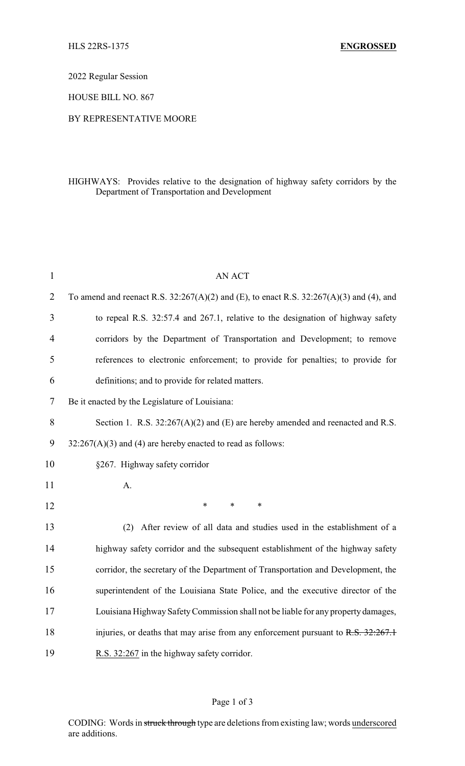2022 Regular Session

HOUSE BILL NO. 867

## BY REPRESENTATIVE MOORE

## HIGHWAYS: Provides relative to the designation of highway safety corridors by the Department of Transportation and Development

| $\mathbf{1}$   | <b>AN ACT</b>                                                                               |  |
|----------------|---------------------------------------------------------------------------------------------|--|
| $\overline{2}$ | To amend and reenact R.S. $32:267(A)(2)$ and (E), to enact R.S. $32:267(A)(3)$ and (4), and |  |
| 3              | to repeal R.S. 32:57.4 and 267.1, relative to the designation of highway safety             |  |
| 4              | corridors by the Department of Transportation and Development; to remove                    |  |
| 5              | references to electronic enforcement; to provide for penalties; to provide for              |  |
| 6              | definitions; and to provide for related matters.                                            |  |
| 7              | Be it enacted by the Legislature of Louisiana:                                              |  |
| 8              | Section 1. R.S. $32:267(A)(2)$ and (E) are hereby amended and reenacted and R.S.            |  |
| 9              | $32:267(A)(3)$ and (4) are hereby enacted to read as follows:                               |  |
| 10             | §267. Highway safety corridor                                                               |  |
| 11             | A.                                                                                          |  |
| 12             | *<br>$\ast$<br>*                                                                            |  |
| 13             | After review of all data and studies used in the establishment of a<br>(2)                  |  |
| 14             | highway safety corridor and the subsequent establishment of the highway safety              |  |
| 15             | corridor, the secretary of the Department of Transportation and Development, the            |  |
| 16             | superintendent of the Louisiana State Police, and the executive director of the             |  |
| 17             | Louisiana Highway Safety Commission shall not be liable for any property damages,           |  |
| 18             | injuries, or deaths that may arise from any enforcement pursuant to R.S. 32:267.1           |  |
| 19             | R.S. 32:267 in the highway safety corridor.                                                 |  |

## Page 1 of 3

CODING: Words in struck through type are deletions from existing law; words underscored are additions.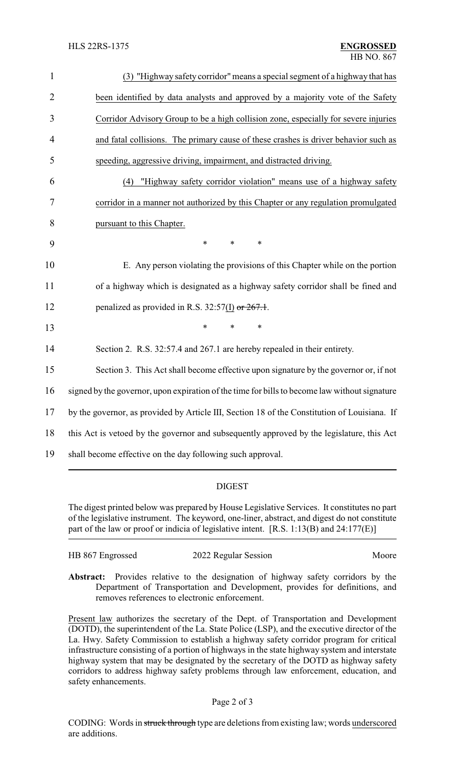| $\mathbf{1}$   | (3) "Highway safety corridor" means a special segment of a highway that has                   |
|----------------|-----------------------------------------------------------------------------------------------|
| $\overline{2}$ | been identified by data analysts and approved by a majority vote of the Safety                |
| 3              | Corridor Advisory Group to be a high collision zone, especially for severe injuries           |
| $\overline{4}$ | and fatal collisions. The primary cause of these crashes is driver behavior such as           |
| 5              | speeding, aggressive driving, impairment, and distracted driving.                             |
| 6              | "Highway safety corridor violation" means use of a highway safety<br>(4)                      |
| 7              | corridor in a manner not authorized by this Chapter or any regulation promulgated             |
| 8              | pursuant to this Chapter.                                                                     |
| 9              | $\ast$<br>$\ast$<br>$\ast$                                                                    |
| 10             | E. Any person violating the provisions of this Chapter while on the portion                   |
| 11             | of a highway which is designated as a highway safety corridor shall be fined and              |
| 12             | penalized as provided in R.S. $32:57(I)$ or $267.1$ .                                         |
| 13             | $\ast$<br>*                                                                                   |
| 14             | Section 2. R.S. 32:57.4 and 267.1 are hereby repealed in their entirety.                      |
| 15             | Section 3. This Act shall become effective upon signature by the governor or, if not          |
| 16             | signed by the governor, upon expiration of the time for bills to become law without signature |
| 17             | by the governor, as provided by Article III, Section 18 of the Constitution of Louisiana. If  |
| 18             | this Act is vetoed by the governor and subsequently approved by the legislature, this Act     |
| 19             | shall become effective on the day following such approval.                                    |

## DIGEST

The digest printed below was prepared by House Legislative Services. It constitutes no part of the legislative instrument. The keyword, one-liner, abstract, and digest do not constitute part of the law or proof or indicia of legislative intent. [R.S. 1:13(B) and 24:177(E)]

| HB 867 Engrossed | 2022 Regular Session | Moore |
|------------------|----------------------|-------|
|                  |                      |       |

**Abstract:** Provides relative to the designation of highway safety corridors by the Department of Transportation and Development, provides for definitions, and removes references to electronic enforcement.

Present law authorizes the secretary of the Dept. of Transportation and Development (DOTD), the superintendent of the La. State Police (LSP), and the executive director of the La. Hwy. Safety Commission to establish a highway safety corridor program for critical infrastructure consisting of a portion of highways in the state highway system and interstate highway system that may be designated by the secretary of the DOTD as highway safety corridors to address highway safety problems through law enforcement, education, and safety enhancements.